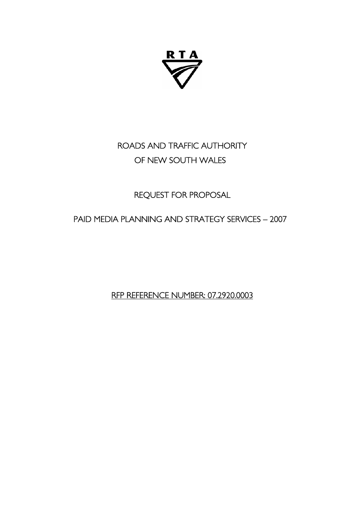

# ROADS AND TRAFFIC AUTHORITY OF NEW SOUTH WALES

# REQUEST FOR PROPOSAL

# PAID MEDIA PLANNING AND STRATEGY SERVICES – 2007

RFP REFERENCE NUMBER: 07.2920.0003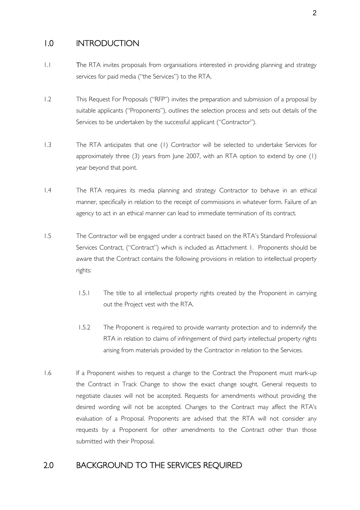### 1.0 INTRODUCTION

- 1.1 The RTA invites proposals from organisations interested in providing planning and strategy services for paid media ("the Services") to the RTA.
- 1.2 This Request For Proposals ("RFP") invites the preparation and submission of a proposal by suitable applicants ("Proponents"), outlines the selection process and sets out details of the Services to be undertaken by the successful applicant ("Contractor").
- 1.3 The RTA anticipates that one (1) Contractor will be selected to undertake Services for approximately three (3) years from June 2007, with an RTA option to extend by one  $(1)$ year beyond that point.
- 1.4 The RTA requires its media planning and strategy Contractor to behave in an ethical manner, specifically in relation to the receipt of commissions in whatever form. Failure of an agency to act in an ethical manner can lead to immediate termination of its contract.
- 1.5 The Contractor will be engaged under a contract based on the RTA's Standard Professional Services Contract, ("Contract") which is included as Attachment 1. Proponents should be aware that the Contract contains the following provisions in relation to intellectual property rights:
	- 1.5.1 The title to all intellectual property rights created by the Proponent in carrying out the Project vest with the RTA.
	- 1.5.2 The Proponent is required to provide warranty protection and to indemnify the RTA in relation to claims of infringement of third party intellectual property rights arising from materials provided by the Contractor in relation to the Services.
- 1.6 If a Proponent wishes to request a change to the Contract the Proponent must mark-up the Contract in Track Change to show the exact change sought. General requests to negotiate clauses will not be accepted. Requests for amendments without providing the desired wording will not be accepted. Changes to the Contract may affect the RTA's evaluation of a Proposal. Proponents are advised that the RTA will not consider any requests by a Proponent for other amendments to the Contract other than those submitted with their Proposal.

### 2.0 BACKGROUND TO THE SERVICES REQUIRED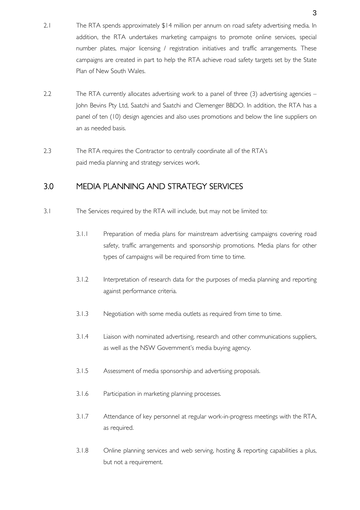- 2.1 The RTA spends approximately \$14 million per annum on road safety advertising media. In addition, the RTA undertakes marketing campaigns to promote online services, special number plates, major licensing / registration initiatives and traffic arrangements. These campaigns are created in part to help the RTA achieve road safety targets set by the State Plan of New South Wales.
- 2.2 The RTA currently allocates advertising work to a panel of three (3) advertising agencies John Bevins Pty Ltd, Saatchi and Saatchi and Clemenger BBDO. In addition, the RTA has a panel of ten (10) design agencies and also uses promotions and below the line suppliers on an as needed basis.
- 2.3 The RTA requires the Contractor to centrally coordinate all of the RTA's paid media planning and strategy services work.

### 3.0 MEDIA PLANNING AND STRATEGY SERVICES

- 3.1 The Services required by the RTA will include, but may not be limited to:
	- 3.1.1 Preparation of media plans for mainstream advertising campaigns covering road safety, traffic arrangements and sponsorship promotions. Media plans for other types of campaigns will be required from time to time.
	- 3.1.2 Interpretation of research data for the purposes of media planning and reporting against performance criteria.
	- 3.1.3 Negotiation with some media outlets as required from time to time.
	- 3.1.4 Liaison with nominated advertising, research and other communications suppliers, as well as the NSW Government's media buying agency.
	- 3.1.5 Assessment of media sponsorship and advertising proposals.
	- 3.1.6 Participation in marketing planning processes.
	- 3.1.7 Attendance of key personnel at regular work-in-progress meetings with the RTA, as required.
	- 3.1.8 Online planning services and web serving, hosting & reporting capabilities a plus, but not a requirement.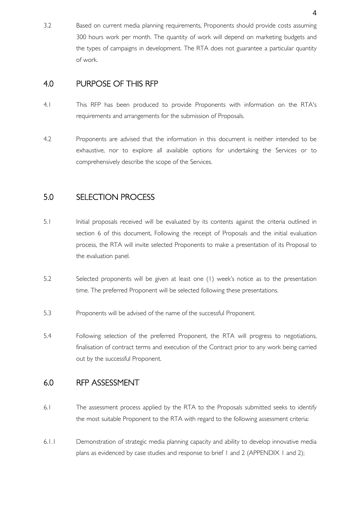3.2 Based on current media planning requirements, Proponents should provide costs assuming 300 hours work per month. The quantity of work will depend on marketing budgets and the types of campaigns in development. The RTA does not guarantee a particular quantity of work.

### 4.0 PURPOSE OF THIS RFP

- 4.1 This RFP has been produced to provide Proponents with information on the RTA's requirements and arrangements for the submission of Proposals.
- 4.2 Proponents are advised that the information in this document is neither intended to be exhaustive, nor to explore all available options for undertaking the Services or to comprehensively describe the scope of the Services.

### 5.0 SELECTION PROCESS

- 5.1 Initial proposals received will be evaluated by its contents against the criteria outlined in section 6 of this document. Following the receipt of Proposals and the initial evaluation process, the RTA will invite selected Proponents to make a presentation of its Proposal to the evaluation panel.
- 5.2 Selected proponents will be given at least one (1) week's notice as to the presentation time. The preferred Proponent will be selected following these presentations.
- 5.3 Proponents will be advised of the name of the successful Proponent.
- 5.4 Following selection of the preferred Proponent, the RTA will progress to negotiations, finalisation of contract terms and execution of the Contract prior to any work being carried out by the successful Proponent.

### 6.0 RFP ASSESSMENT

- 6.1 The assessment process applied by the RTA to the Proposals submitted seeks to identify the most suitable Proponent to the RTA with regard to the following assessment criteria:
- 6.1.1 Demonstration of strategic media planning capacity and ability to develop innovative media plans as evidenced by case studies and response to brief 1 and 2 (APPENDIX 1 and 2);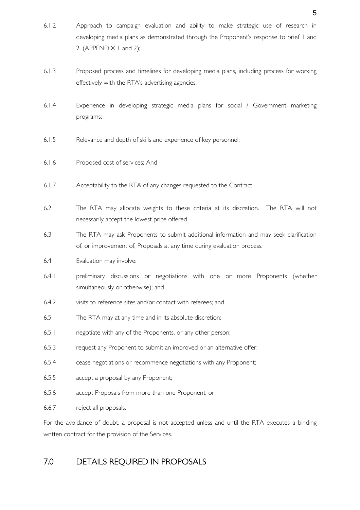- 6.1.2 Approach to campaign evaluation and ability to make strategic use of research in developing media plans as demonstrated through the Proponent's response to brief 1 and 2. (APPENDIX 1 and 2);
- 6.1.3 Proposed process and timelines for developing media plans, including process for working effectively with the RTA's advertising agencies;
- 6.1.4 Experience in developing strategic media plans for social / Government marketing programs;
- 6.1.5 Relevance and depth of skills and experience of key personnel;
- 6.1.6 Proposed cost of services; And
- 6.1.7 Acceptability to the RTA of any changes requested to the Contract.
- 6.2 The RTA may allocate weights to these criteria at its discretion. The RTA will not necessarily accept the lowest price offered.
- 6.3 The RTA may ask Proponents to submit additional information and may seek clarification of, or improvement of, Proposals at any time during evaluation process.
- 6.4 Evaluation may involve:
- 6.4.1 preliminary discussions or negotiations with one or more Proponents (whether simultaneously or otherwise); and
- 6.4.2 visits to reference sites and/or contact with referees; and
- 6.5 The RTA may at any time and in its absolute discretion:
- 6.5.1 negotiate with any of the Proponents, or any other person;
- 6.5.3 request any Proponent to submit an improved or an alternative offer;
- 6.5.4 cease negotiations or recommence negotiations with any Proponent;
- 6.5.5 accept a proposal by any Proponent;
- 6.5.6 accept Proposals from more than one Proponent, or
- 6.6.7 reject all proposals.

For the avoidance of doubt, a proposal is not accepted unless and until the RTA executes a binding written contract for the provision of the Services.

## 7.0 DETAILS REQUIRED IN PROPOSALS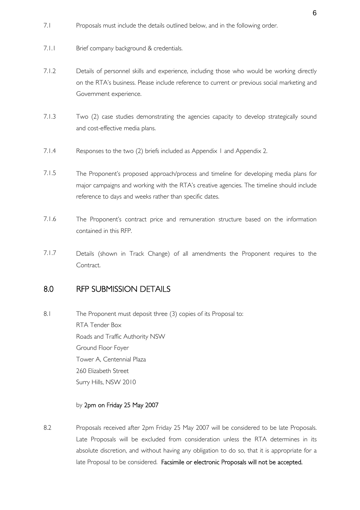- 7.1 Proposals must include the details outlined below, and in the following order.
- 7.1.1 Brief company background & credentials.
- 7.1.2 Details of personnel skills and experience, including those who would be working directly on the RTA's business. Please include reference to current or previous social marketing and Government experience.
- 7.1.3 Two (2) case studies demonstrating the agencies capacity to develop strategically sound and cost-effective media plans.
- 7.1.4 Responses to the two (2) briefs included as Appendix 1 and Appendix 2.
- 7.1.5 The Proponent's proposed approach/process and timeline for developing media plans for major campaigns and working with the RTA's creative agencies. The timeline should include reference to days and weeks rather than specific dates.
- 7.1.6 The Proponent's contract price and remuneration structure based on the information contained in this RFP.
- 7.1.7 Details (shown in Track Change) of all amendments the Proponent requires to the Contract.

### 8.0 RFP SUBMISSION DETAILS

8.1 The Proponent must deposit three (3) copies of its Proposal to: RTA Tender Box Roads and Traffic Authority NSW Ground Floor Foyer Tower A, Centennial Plaza 260 Elizabeth Street Surry Hills, NSW 2010

#### by 2pm on Friday 25 May 2007

8.2 Proposals received after 2pm Friday 25 May 2007 will be considered to be late Proposals. Late Proposals will be excluded from consideration unless the RTA determines in its absolute discretion, and without having any obligation to do so, that it is appropriate for a late Proposal to be considered. Facsimile or electronic Proposals will not be accepted.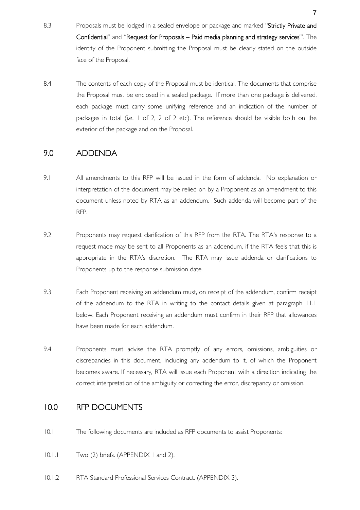- 8.3 Proposals must be lodged in a sealed envelope or package and marked "Strictly Private and Confidential" and "Request for Proposals – Paid media planning and strategy services'". The identity of the Proponent submitting the Proposal must be clearly stated on the outside face of the Proposal.
- 8.4 The contents of each copy of the Proposal must be identical. The documents that comprise the Proposal must be enclosed in a sealed package. If more than one package is delivered, each package must carry some unifying reference and an indication of the number of packages in total (i.e. 1 of 2, 2 of 2 etc). The reference should be visible both on the exterior of the package and on the Proposal.

### 9.0 ADDENDA

- 9.1 All amendments to this RFP will be issued in the form of addenda. No explanation or interpretation of the document may be relied on by a Proponent as an amendment to this document unless noted by RTA as an addendum. Such addenda will become part of the RFP.
- 9.2 Proponents may request clarification of this RFP from the RTA. The RTA's response to a request made may be sent to all Proponents as an addendum, if the RTA feels that this is appropriate in the RTA's discretion. The RTA may issue addenda or clarifications to Proponents up to the response submission date.
- 9.3 Each Proponent receiving an addendum must, on receipt of the addendum, confirm receipt of the addendum to the RTA in writing to the contact details given at paragraph 11.1 below. Each Proponent receiving an addendum must confirm in their RFP that allowances have been made for each addendum.
- 9.4 Proponents must advise the RTA promptly of any errors, omissions, ambiguities or discrepancies in this document, including any addendum to it, of which the Proponent becomes aware. If necessary, RTA will issue each Proponent with a direction indicating the correct interpretation of the ambiguity or correcting the error, discrepancy or omission.

### 10.0 RFP DOCUMENTS

- 10.1 The following documents are included as RFP documents to assist Proponents:
- 10.1.1 Two (2) briefs. (APPENDIX 1 and 2).
- 10.1.2 RTA Standard Professional Services Contract. (APPENDIX 3).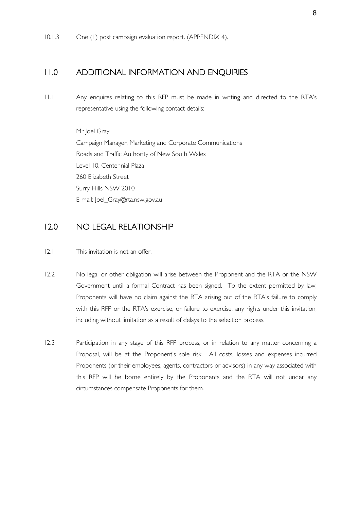### 11.0 ADDITIONAL INFORMATION AND ENQUIRIES

11.1 Any enquires relating to this RFP must be made in writing and directed to the RTA's representative using the following contact details:

> Mr Joel Gray Campaign Manager, Marketing and Corporate Communications Roads and Traffic Authority of New South Wales Level 10, Centennial Plaza 260 Elizabeth Street Surry Hills NSW 2010 E-mail: Joel\_Gray@rta.nsw.gov.au

### 12.0 NO LEGAL RELATIONSHIP

- 12.1 This invitation is not an offer.
- 12.2 No legal or other obligation will arise between the Proponent and the RTA or the NSW Government until a formal Contract has been signed. To the extent permitted by law, Proponents will have no claim against the RTA arising out of the RTA's failure to comply with this RFP or the RTA's exercise, or failure to exercise, any rights under this invitation, including without limitation as a result of delays to the selection process.
- 12.3 Participation in any stage of this RFP process, or in relation to any matter concerning a Proposal, will be at the Proponent's sole risk. All costs, losses and expenses incurred Proponents (or their employees, agents, contractors or advisors) in any way associated with this RFP will be borne entirely by the Proponents and the RTA will not under any circumstances compensate Proponents for them.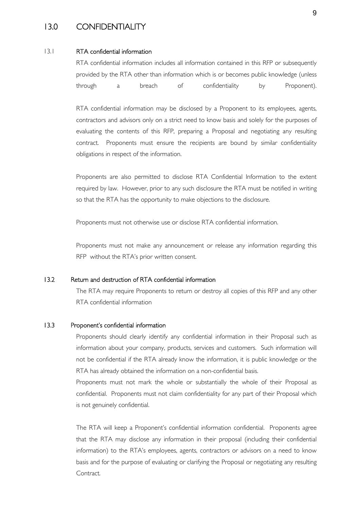### 13.0 CONFIDENTIALITY

#### 13.1 RTA confidential information

RTA confidential information includes all information contained in this RFP or subsequently provided by the RTA other than information which is or becomes public knowledge (unless through a breach of confidentiality by Proponent).

RTA confidential information may be disclosed by a Proponent to its employees, agents, contractors and advisors only on a strict need to know basis and solely for the purposes of evaluating the contents of this RFP, preparing a Proposal and negotiating any resulting contract. Proponents must ensure the recipients are bound by similar confidentiality obligations in respect of the information.

Proponents are also permitted to disclose RTA Confidential Information to the extent required by law. However, prior to any such disclosure the RTA must be notified in writing so that the RTA has the opportunity to make objections to the disclosure.

Proponents must not otherwise use or disclose RTA confidential information.

Proponents must not make any announcement or release any information regarding this RFP without the RTA's prior written consent.

#### 13.2 Return and destruction of RTA confidential information

The RTA may require Proponents to return or destroy all copies of this RFP and any other RTA confidential information

#### 13.3 Proponent's confidential information

Proponents should clearly identify any confidential information in their Proposal such as information about your company, products, services and customers. Such information will not be confidential if the RTA already know the information, it is public knowledge or the RTA has already obtained the information on a non-confidential basis.

Proponents must not mark the whole or substantially the whole of their Proposal as confidential. Proponents must not claim confidentiality for any part of their Proposal which is not genuinely confidential.

The RTA will keep a Proponent's confidential information confidential. Proponents agree that the RTA may disclose any information in their proposal (including their confidential information) to the RTA's employees, agents, contractors or advisors on a need to know basis and for the purpose of evaluating or clarifying the Proposal or negotiating any resulting Contract.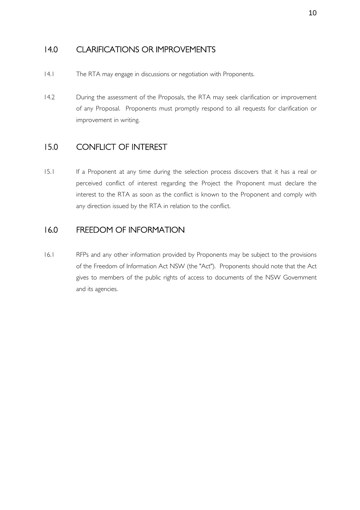### 14.0 CLARIFICATIONS OR IMPROVEMENTS

- 14.1 The RTA may engage in discussions or negotiation with Proponents.
- 14.2 During the assessment of the Proposals, the RTA may seek clarification or improvement of any Proposal. Proponents must promptly respond to all requests for clarification or improvement in writing.

### 15.0 CONFLICT OF INTEREST

15.1 If a Proponent at any time during the selection process discovers that it has a real or perceived conflict of interest regarding the Project the Proponent must declare the interest to the RTA as soon as the conflict is known to the Proponent and comply with any direction issued by the RTA in relation to the conflict.

### 16.0 FREEDOM OF INFORMATION

16.1 RFPs and any other information provided by Proponents may be subject to the provisions of the Freedom of Information Act NSW (the "Act"). Proponents should note that the Act gives to members of the public rights of access to documents of the NSW Government and its agencies.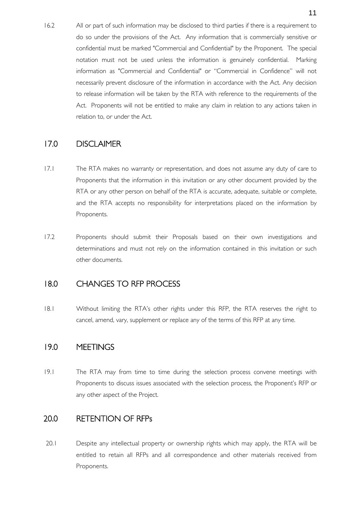16.2 All or part of such information may be disclosed to third parties if there is a requirement to do so under the provisions of the Act. Any information that is commercially sensitive or confidential must be marked "Commercial and Confidential" by the Proponent. The special notation must not be used unless the information is genuinely confidential. Marking information as "Commercial and Confidential" or "Commercial in Confidence" will not necessarily prevent disclosure of the information in accordance with the Act. Any decision to release information will be taken by the RTA with reference to the requirements of the Act. Proponents will not be entitled to make any claim in relation to any actions taken in relation to, or under the Act.

### 17.0 DISCLAIMER

- 17.1 The RTA makes no warranty or representation, and does not assume any duty of care to Proponents that the information in this invitation or any other document provided by the RTA or any other person on behalf of the RTA is accurate, adequate, suitable or complete, and the RTA accepts no responsibility for interpretations placed on the information by Proponents.
- 17.2 Proponents should submit their Proposals based on their own investigations and determinations and must not rely on the information contained in this invitation or such other documents.

### 18.0 CHANGES TO RFP PROCESS

18.1 Without limiting the RTA's other rights under this RFP, the RTA reserves the right to cancel, amend, vary, supplement or replace any of the terms of this RFP at any time.

### 19.0 MEETINGS

19.1 The RTA may from time to time during the selection process convene meetings with Proponents to discuss issues associated with the selection process, the Proponent's RFP or any other aspect of the Project.

### 20.0 RETENTION OF RFPs

20.1 Despite any intellectual property or ownership rights which may apply, the RTA will be entitled to retain all RFPs and all correspondence and other materials received from Proponents.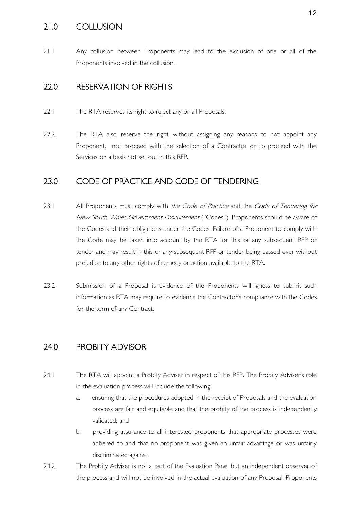### 21.0 COLLUSION

21.1 Any collusion between Proponents may lead to the exclusion of one or all of the Proponents involved in the collusion.

### 22.0 RESERVATION OF RIGHTS

- 22.1 The RTA reserves its right to reject any or all Proposals.
- 22.2 The RTA also reserve the right without assigning any reasons to not appoint any Proponent, not proceed with the selection of a Contractor or to proceed with the Services on a basis not set out in this RFP.

### 23.0 CODE OF PRACTICE AND CODE OF TENDERING

- 23.1 All Proponents must comply with the Code of Practice and the Code of Tendering for New South Wales Government Procurement ("Codes"). Proponents should be aware of the Codes and their obligations under the Codes. Failure of a Proponent to comply with the Code may be taken into account by the RTA for this or any subsequent RFP or tender and may result in this or any subsequent RFP or tender being passed over without prejudice to any other rights of remedy or action available to the RTA.
- 23.2 Submission of a Proposal is evidence of the Proponents willingness to submit such information as RTA may require to evidence the Contractor's compliance with the Codes for the term of any Contract.

### 24.0 PROBITY ADVISOR

- 24.1 The RTA will appoint a Probity Adviser in respect of this RFP. The Probity Adviser's role in the evaluation process will include the following:
	- a. ensuring that the procedures adopted in the receipt of Proposals and the evaluation process are fair and equitable and that the probity of the process is independently validated; and
	- b. providing assurance to all interested proponents that appropriate processes were adhered to and that no proponent was given an unfair advantage or was unfairly discriminated against.
- 24.2 The Probity Adviser is not a part of the Evaluation Panel but an independent observer of the process and will not be involved in the actual evaluation of any Proposal. Proponents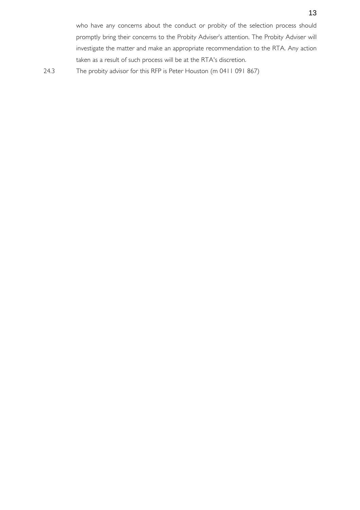24.3 The probity advisor for this RFP is Peter Houston (m 0411 091 867)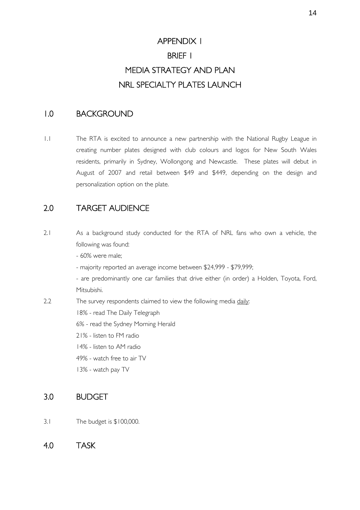# APPENDIX 1 BRIEF 1 MEDIA STRATEGY AND PLAN NRL SPECIALTY PLATES LAUNCH

### 1.0 BACKGROUND

1.1 The RTA is excited to announce a new partnership with the National Rugby League in creating number plates designed with club colours and logos for New South Wales residents, primarily in Sydney, Wollongong and Newcastle. These plates will debut in August of 2007 and retail between \$49 and \$449, depending on the design and personalization option on the plate.

### 2.0 TARGET AUDIENCE

2.1 As a background study conducted for the RTA of NRL fans who own a vehicle, the following was found:

- 60% were male;

- majority reported an average income between \$24,999 - \$79,999;

 - are predominantly one car families that drive either (in order) a Holden, Toyota, Ford, Mitsubishi.

2.2 The survey respondents claimed to view the following media daily:

18% - read The Daily Telegraph

6% - read the Sydney Morning Herald

- 21% listen to FM radio
- 14% listen to AM radio
- 49% watch free to air TV
- 13% watch pay TV

### 3.0 BUDGET

- 3.1 The budget is \$100,000.
- 4.0 TASK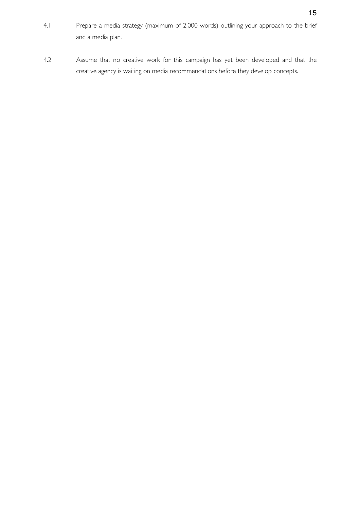- 4.1 Prepare a media strategy (maximum of 2,000 words) outlining your approach to the brief and a media plan.
- 4.2 Assume that no creative work for this campaign has yet been developed and that the creative agency is waiting on media recommendations before they develop concepts.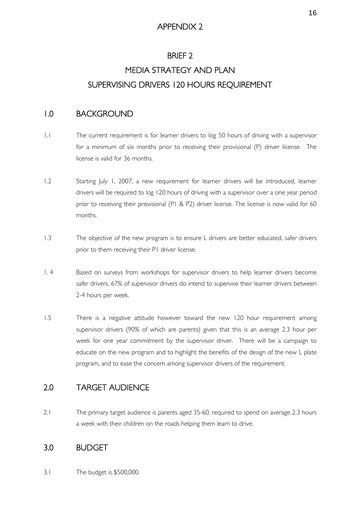### APPENDIX 2

### BRIEF 2

# MEDIA STRATEGY AND PLAN SUPERVISING DRIVERS 120 HOURS REQUIREMENT

### 1.0 BACKGROUND

- 1.1 The current requirement is for learner drivers to log 50 hours of driving with a supervisor for a minimum of six months prior to receiving their provisional (P) driver license. The license is valid for 36 months.
- 1.2 Starting July 1, 2007, a new requirement for learner drivers will be introduced, learner drivers will be required to log 120 hours of driving with a supervisor over a one year period prior to receiving their provisional (P1 & P2) driver license. The license is now valid for 60 months.
- 1.3 The objective of the new program is to ensure L drivers are better educated, safer drivers prior to them receiving their P1 driver license.
- 1. 4 Based on surveys from workshops for supervisor drivers to help learner drivers become safer drivers, 67% of supervisor drivers do intend to supervise their learner drivers between 2-4 hours per week.
- 1.5 There is a negative attitude however toward the new 120 hour requirement among supervisor drivers (90% of which are parents) given that this is an average 2.3 hour per week for one year commitment by the supervisor driver. There will be a campaign to educate on the new program and to highlight the benefits of the design of the new L plate program, and to ease the concern among supervisor drivers of the requirement.

### 2.0 TARGET AUDIENCE

2.1 The primary target audience is parents aged 35-60, required to spend on average 2.3 hours a week with their children on the roads helping them learn to drive.

### 3.0 BUDGET

3.1 The budget is \$500,000.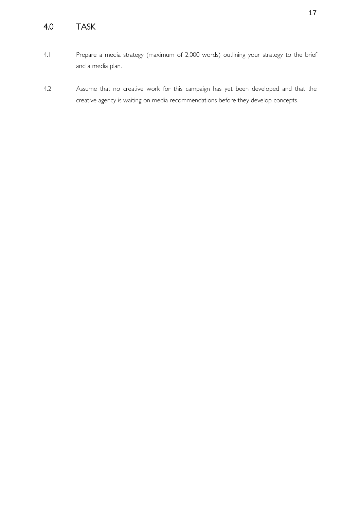# 4.0 TASK

- 4.1 Prepare a media strategy (maximum of 2,000 words) outlining your strategy to the brief and a media plan.
- 4.2 Assume that no creative work for this campaign has yet been developed and that the creative agency is waiting on media recommendations before they develop concepts.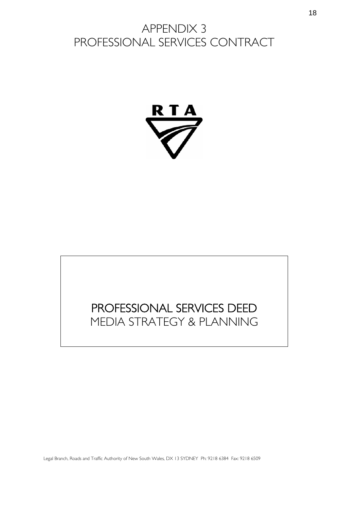# APPENDIX 3 PROFESSIONAL SERVICES CONTRACT



# PROFESSIONAL SERVICES DEED MEDIA STRATEGY & PLANNING

Legal Branch, Roads and Traffic Authority of New South Wales, DX 13 SYDNEY Ph: 9218 6384 Fax: 9218 6509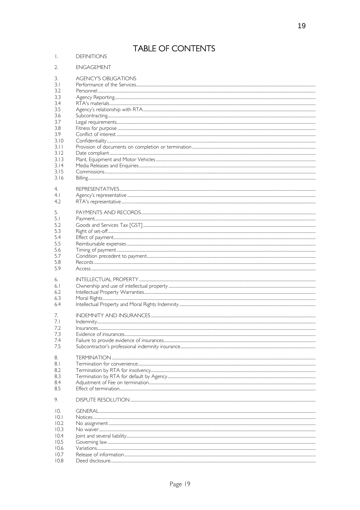# TABLE OF CONTENTS

# I. DEFINITIONS

| 2.   | <b>ENGAGEMENT</b>                                                                                                                                                                                                                                                                                                                                                                            |
|------|----------------------------------------------------------------------------------------------------------------------------------------------------------------------------------------------------------------------------------------------------------------------------------------------------------------------------------------------------------------------------------------------|
| 3.   | <b>AGENCY'S OBLIGATIONS</b>                                                                                                                                                                                                                                                                                                                                                                  |
| 3.1  |                                                                                                                                                                                                                                                                                                                                                                                              |
| 3.2  |                                                                                                                                                                                                                                                                                                                                                                                              |
| 3.3  |                                                                                                                                                                                                                                                                                                                                                                                              |
| 3.4  |                                                                                                                                                                                                                                                                                                                                                                                              |
| 3.5  |                                                                                                                                                                                                                                                                                                                                                                                              |
| 3.6  |                                                                                                                                                                                                                                                                                                                                                                                              |
| 3.7  |                                                                                                                                                                                                                                                                                                                                                                                              |
| 3.8  |                                                                                                                                                                                                                                                                                                                                                                                              |
| 3.9  |                                                                                                                                                                                                                                                                                                                                                                                              |
| 3.10 |                                                                                                                                                                                                                                                                                                                                                                                              |
| 3.11 |                                                                                                                                                                                                                                                                                                                                                                                              |
| 3.12 |                                                                                                                                                                                                                                                                                                                                                                                              |
| 3.13 |                                                                                                                                                                                                                                                                                                                                                                                              |
| 3.14 |                                                                                                                                                                                                                                                                                                                                                                                              |
| 3.15 | $\label{cor:con:1} \textit{Commissions}.\textit{}.\textit{}.\textit{}.\textit{}.\textit{}.\textit{}.\textit{}.\textit{}.\textit{}.\textit{}.\textit{}.\textit{}.\textit{}.\textit{}.\textit{}.\textit{}.\textit{}.\textit{}.\textit{}.\textit{}.\textit{}.\textit{}.\textit{}.\textit{}.\textit{}.\textit{}.\textit{}.\textit{}.\textit{}.\textit{}.\textit{}.\textit{}.\textit{}.\textit{}$ |
| 3.16 |                                                                                                                                                                                                                                                                                                                                                                                              |
| 4.   |                                                                                                                                                                                                                                                                                                                                                                                              |
| 4.1  |                                                                                                                                                                                                                                                                                                                                                                                              |
| 4.2  |                                                                                                                                                                                                                                                                                                                                                                                              |
| 5.   |                                                                                                                                                                                                                                                                                                                                                                                              |
| 5.1  |                                                                                                                                                                                                                                                                                                                                                                                              |
| 5.2  |                                                                                                                                                                                                                                                                                                                                                                                              |
| 5.3  |                                                                                                                                                                                                                                                                                                                                                                                              |
| 5.4  |                                                                                                                                                                                                                                                                                                                                                                                              |
| 5.5  |                                                                                                                                                                                                                                                                                                                                                                                              |
| 5.6  |                                                                                                                                                                                                                                                                                                                                                                                              |
| 5.7  |                                                                                                                                                                                                                                                                                                                                                                                              |
| 5.8  |                                                                                                                                                                                                                                                                                                                                                                                              |
| 5.9  |                                                                                                                                                                                                                                                                                                                                                                                              |
| 6.   |                                                                                                                                                                                                                                                                                                                                                                                              |
| 6.1  |                                                                                                                                                                                                                                                                                                                                                                                              |
| 6.2  |                                                                                                                                                                                                                                                                                                                                                                                              |
| 6.3  |                                                                                                                                                                                                                                                                                                                                                                                              |
| 6.4  |                                                                                                                                                                                                                                                                                                                                                                                              |
| 7.   |                                                                                                                                                                                                                                                                                                                                                                                              |
| 7.1  |                                                                                                                                                                                                                                                                                                                                                                                              |
| 7.2  |                                                                                                                                                                                                                                                                                                                                                                                              |
| 7.3  |                                                                                                                                                                                                                                                                                                                                                                                              |
| 7.4  |                                                                                                                                                                                                                                                                                                                                                                                              |
| 7.5  |                                                                                                                                                                                                                                                                                                                                                                                              |
| 8.   |                                                                                                                                                                                                                                                                                                                                                                                              |
| 8.1  |                                                                                                                                                                                                                                                                                                                                                                                              |
| 8.2  |                                                                                                                                                                                                                                                                                                                                                                                              |
| 8.3  |                                                                                                                                                                                                                                                                                                                                                                                              |
| 8.4  |                                                                                                                                                                                                                                                                                                                                                                                              |
| 8.5  |                                                                                                                                                                                                                                                                                                                                                                                              |
| 9.   |                                                                                                                                                                                                                                                                                                                                                                                              |
| 10.  |                                                                                                                                                                                                                                                                                                                                                                                              |
| 10.1 |                                                                                                                                                                                                                                                                                                                                                                                              |
| 10.2 |                                                                                                                                                                                                                                                                                                                                                                                              |
| 10.3 |                                                                                                                                                                                                                                                                                                                                                                                              |
| 10.4 |                                                                                                                                                                                                                                                                                                                                                                                              |
| 10.5 |                                                                                                                                                                                                                                                                                                                                                                                              |
| 10.6 |                                                                                                                                                                                                                                                                                                                                                                                              |
| 10.7 |                                                                                                                                                                                                                                                                                                                                                                                              |
| 10.8 |                                                                                                                                                                                                                                                                                                                                                                                              |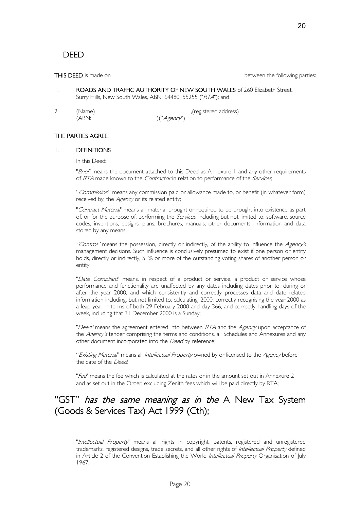THIS DEED is made on **Fig. 2018** between the following parties:

- 1. ROADS AND TRAFFIC AUTHORITY OF NEW SOUTH WALES of 260 Elizabeth Street, Surry Hills, New South Wales, ABN: 64480155255 ("RTA"); and
- 2. (Name) (Name) (Name)

 $(ABN:')$   $(('Agency')')$ 

#### THE PARTIES AGREE:

#### 1. DEFINITIONS

In this Deed:

"Brief" means the document attached to this Deed as Annexure 1 and any other requirements of RTA made known to the *Contractor* in relation to performance of the *Services*;

"Commission" means any commission paid or allowance made to, or benefit (in whatever form) received by, the Agency or its related entity;

"Contract Material" means all material brought or required to be brought into existence as part of, or for the purpose of, performing the *Services*, including but not limited to, software, source codes, inventions, designs, plans, brochures, manuals, other documents, information and data stored by any means;

"Control" means the possession, directly or indirectly, of the ability to influence the Agency's management decisions. Such influence is conclusively presumed to exist if one person or entity holds, directly or indirectly, 51% or more of the outstanding voting shares of another person or entity;

"Date Compliant" means, in respect of a product or service, a product or service whose performance and functionality are unaffected by any dates including dates prior to, during or after the year 2000, and which consistently and correctly processes data and date related information including, but not limited to, calculating, 2000, correctly recognising the year 2000 as a leap year in terms of both 29 February 2000 and day 366, and correctly handling days of the week, including that 31 December 2000 is a Sunday;

"Deed" means the agreement entered into between RTA and the Agency upon acceptance of the Agency's tender comprising the terms and conditions, all Schedules and Annexures and any other document incorporated into the Deed by reference;

"Existing Material" means all Intellectual Property owned by or licensed to the Agency before the date of the Deed;

"Fee" means the fee which is calculated at the rates or in the amount set out in Annexure 2 and as set out in the Order, excluding Zenith fees which will be paid directly by RTA;

## "GST" has the same meaning as in the A New Tax System (Goods & Services Tax) Act 1999 (Cth);

"Intellectual Property" means all rights in copyright, patents, registered and unregistered trademarks, registered designs, trade secrets, and all other rights of Intellectual Property defined in Article 2 of the Convention Establishing the World Intellectual Property Organisation of July 1967;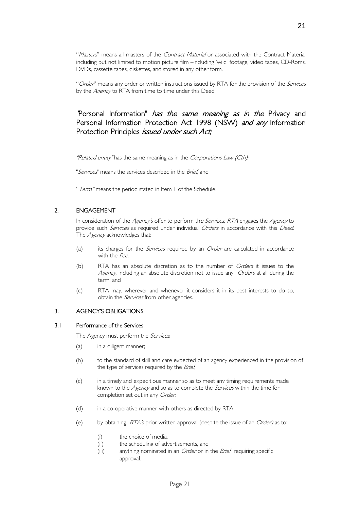"Masters" means all masters of the Contract Material or associated with the Contract Material including but not limited to motion picture film –including 'wild' footage, video tapes, CD-Roms, DVDs, cassette tapes, diskettes, and stored in any other form.

"Order" means any order or written instructions issued by RTA for the provision of the Services by the Agency to RTA from time to time under this Deed

### Personal Information" has the same meaning as in the Privacy and Personal Information Protection Act 1998 (NSW) and any Information Protection Principles *issued under such Act*;

"Related entity" has the same meaning as in the Corporations Law (Cth);

"Services" means the services described in the *Brief*, and

"Term" means the period stated in Item 1 of the Schedule.

### 2. ENGAGEMENT

In consideration of the *Agency's* offer to perform th*e Services, RTA* engages the *Agency* to provide such *Services* as required under individual Orders in accordance with this Deed. The *Agency* acknowledges that:

- (a) its charges for the *Services* required by an *Order* are calculated in accordance with the Fee.
- (b) RTA has an absolute discretion as to the number of Orders it issues to the Agency, including an absolute discretion not to issue any Orders at all during the term; and
- (c) RTA may, wherever and whenever it considers it in its best interests to do so, obtain the *Services* from other agencies.

#### 3. AGENCY'S OBLIGATIONS

#### 3.1 Performance of the Services

The Agency must perform the Services.

- (a) in a diligent manner;
- (b) to the standard of skill and care expected of an agency experienced in the provision of the type of services required by the Brief,
- (c) in a timely and expeditious manner so as to meet any timing requirements made known to the *Agency* and so as to complete the *Services* within the time for completion set out in any Order;
- (d) in a co-operative manner with others as directed by RTA.
- (e) by obtaining  $RTA's$  prior written approval (despite the issue of an Order) as to:
	- (i) the choice of media,
	- (ii) the scheduling of advertisements, and
	- (iii) anything nominated in an *Order* or in the *Brief* requiring specific approval.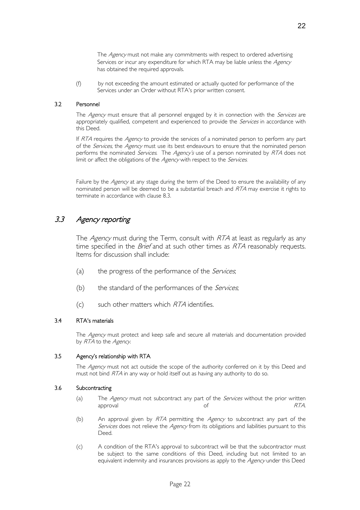The Agency must not make any commitments with respect to ordered advertising Services or incur any expenditure for which RTA may be liable unless the Agency has obtained the required approvals.

(f) by not exceeding the amount estimated or actually quoted for performance of the Services under an Order without RTA's prior written consent.

#### 3.2 Personnel

The Agency must ensure that all personnel engaged by it in connection with the Services are appropriately qualified, competent and experienced to provide the Services in accordance with this Deed.

If RTA requires the Agency to provide the services of a nominated person to perform any part of the *Services*, the *Agency* must use its best endeavours to ensure that the nominated person performs the nominated Services. The Agency's use of a person nominated by RTA does not limit or affect the obligations of the Agency with respect to the Services.

Failure by the Agency at any stage during the term of the Deed to ensure the availability of any nominated person will be deemed to be a substantial breach and RTA may exercise it rights to terminate in accordance with clause 8.3.

### 3.3 Agency reporting

The Agency must during the Term, consult with RTA at least as regularly as any time specified in the *Brief* and at such other times as  $RTA$  reasonably requests. Items for discussion shall include:

- (a) the progress of the performance of the *Services*;
- (b) the standard of the performances of the  $Services$ ;
- $(c)$  such other matters which  $RTA$  identifies.

#### 3.4 RTA's materials

The Agency must protect and keep safe and secure all materials and documentation provided by RTA to the Agency.

#### 3.5 Agency's relationship with RTA

The Agency must not act outside the scope of the authority conferred on it by this Deed and must not bind RTA in any way or hold itself out as having any authority to do so.

#### 3.6 Subcontracting

- (a) The Agency must not subcontract any part of the Services without the prior written approval and the contract of the contract of the contract of the RTA.
- (b) An approval given by  $RTA$  permitting the Agency to subcontract any part of the Services does not relieve the Agency from its obligations and liabilities pursuant to this Deed.
- (c) A condition of the RTA's approval to subcontract will be that the subcontractor must be subject to the same conditions of this Deed, including but not limited to an equivalent indemnity and insurances provisions as apply to the Agency under this Deed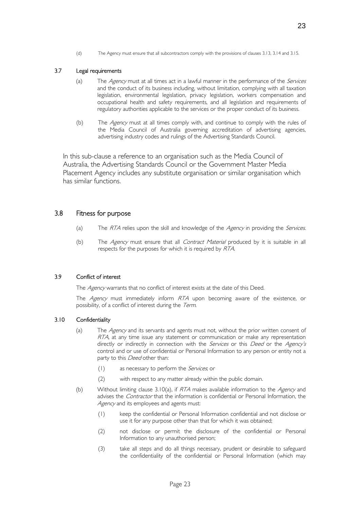(d) The Agency must ensure that all subcontractors comply with the provisions of clauses 3.13, 3.14 and 3.15.

#### 3.7 Legal requirements

- (a) The  $Agency$  must at all times act in a lawful manner in the performance of the *Services* and the conduct of its business including, without limitation, complying with all taxation legislation, environmental legislation, privacy legislation, workers compensation and occupational health and safety requirements, and all legislation and requirements of regulatory authorities applicable to the services or the proper conduct of its business.
- (b) The Agency must at all times comply with, and continue to comply with the rules of the Media Council of Australia governing accreditation of advertising agencies, advertising industry codes and rulings of the Advertising Standards Council.

In this sub-clause a reference to an organisation such as the Media Council of Australia, the Advertising Standards Council or the Government Master Media Placement Agency includes any substitute organisation or similar organisation which has similar functions.

#### 3.8 Fitness for purpose

- (a) The RTA relies upon the skill and knowledge of the Agency in providing the Services.
- (b) The Agency must ensure that all Contract Material produced by it is suitable in all respects for the purposes for which it is required by RTA.

#### 3.9 Conflict of interest

The Agency warrants that no conflict of interest exists at the date of this Deed.

The Agency must immediately inform RTA upon becoming aware of the existence, or possibility, of a conflict of interest during the Term.

#### 3.10 Confidentiality

- (a) The Agency and its servants and agents must not, without the prior written consent of RTA, at any time issue any statement or communication or make any representation directly or indirectly in connection with the Services or this Deed or the Agency's control and or use of confidential or Personal Information to any person or entity not a party to this *Deed* other than:
	- (1) as necessary to perform the *Services*; or
	- (2) with respect to any matter already within the public domain.
- (b) Without limiting clause 3.10(a), if  $RTA$  makes available information to the Agency and advises the *Contractor* that the information is confidential or Personal Information, the Agency and its employees and agents must:
	- (1) keep the confidential or Personal Information confidential and not disclose or use it for any purpose other than that for which it was obtained;
	- (2) not disclose or permit the disclosure of the confidential or Personal Information to any unauthorised person;
	- (3) take all steps and do all things necessary, prudent or desirable to safeguard the confidentiality of the confidential or Personal Information (which may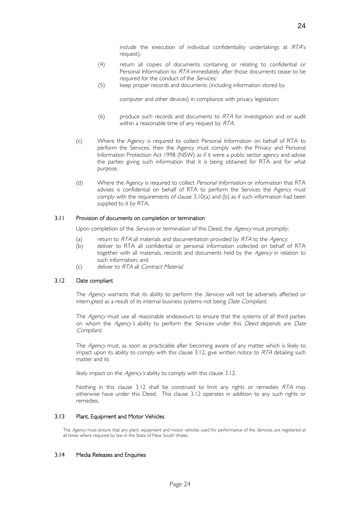include the execution of individual confidentiality undertakings at RTA's request);

- (4) return all copies of documents containing or relating to confidential or Personal Information to RTA immediately after those documents cease to be required for the conduct of the Services;
- (5) keep proper records and documents (including information stored by

computer and other devices) in compliance with privacy legislation;

- $(6)$  produce such records and documents to  $RTA$  for investigation and or audit within a reasonable time of any request by RTA.
- (c) Where the Agency is required to collect Personal Information on behalf of RTA to perform the Services, then the Agency must comply with the Privacy and Personal Information Protection Act 1998 (NSW) as if it were a public sector agency and advise the parties giving such information that it is being obtained for RTA and for what purpose.
- (d) Where the Agency is required to collect Personal Information or information that RTA advises is confidential on behalf of RTA to perform the Services the Agency must comply with the requirements of clause 3.10(a) and (b) as if such information had been supplied to it by RTA.

#### 3.11 Provision of documents on completion or termination

Upon completion of the *Services* or termination of this Deed, the *Agency* must promptly:

- (a) return to  $RTA$  all materials and documentation provided by  $RTA$  to the  $Agency$ ;
- (b) deliver to RTA all confidential or personal information collected on behalf of RTA together with all materials, records and documents held by the Agency in relation to such information; and
- (c) deliver to RTA all Contract Material.

#### 3.12 Date compliant

The Agency warrants that its ability to perform the Services will not be adversely affected or interrupted as a result of its internal business systems not being Date Compliant.

The Agency must use all reasonable endeavours to ensure that the systems of all third parties on whom the Agency's ability to perform the Services under this Deed depends are Date Compliant.

The Agency must, as soon as practicable after becoming aware of any matter which is likely to impact upon its ability to comply with this clause  $3.12$ , give written notice to  $RTA$  detailing such matter and its

likely impact on the *Agency's* ability to comply with this clause 3.12.

Nothing in this clause 3.12 shall be construed to limit any rights or remedies RTA may otherwise have under this Deed. This clause 3.12 operates in addition to any such rights or remedies.

#### 3.13 Plant, Equipment and Motor Vehicles

The Agency must ensure that any plant, equipment and motor vehicles used for performance of the Services, are registered at all times where required by law in the State of New South Wales.

#### 3.14 Media Releases and Enquiries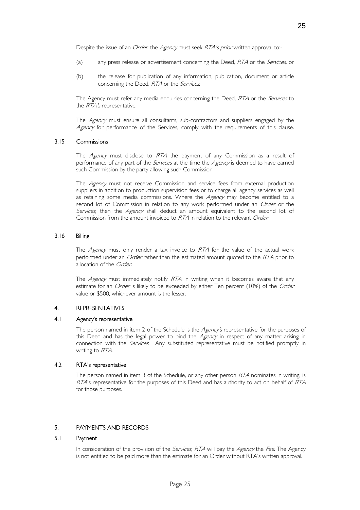Despite the issue of an *Order*, the *Agency* must seek *RTA's prior* written approval to:-

- (a) any press release or advertisement concerning the Deed, RTA or the Services; or
- (b) the release for publication of any information, publication, document or article concerning the Deed, RTA or the Services.

The Agency must refer any media enquiries concerning the Deed, RTA or the Services to the RTA's representative.

The Agency must ensure all consultants, sub-contractors and suppliers engaged by the Agency for performance of the Services, comply with the requirements of this clause.

#### 3.15 Commissions

The Agency must disclose to RTA the payment of any Commission as a result of performance of any part of the *Services* at the time the *Agency* is deemed to have earned such Commission by the party allowing such Commission.

The Agency must not receive Commission and service fees from external production suppliers in addition to production supervision fees or to charge all agency services as well as retaining some media commissions. Where the Agency may become entitled to a second lot of Commission in relation to any work performed under an Order or the Services, then the Agency shall deduct an amount equivalent to the second lot of Commission from the amount invoiced to RTA in relation to the relevant Order.

#### 3.16 Billing

The Agency must only render a tax invoice to RTA for the value of the actual work performed under an *Order* rather than the estimated amount quoted to the RTA prior to allocation of the Order.

The Agency must immediately notify RTA in writing when it becomes aware that any estimate for an Order is likely to be exceeded by either Ten percent (10%) of the Order value or \$500, whichever amount is the lesser.

#### 4. REPRESENTATIVES

#### 4.1 Agency's representative

The person named in item 2 of the Schedule is the Agency's representative for the purposes of this Deed and has the legal power to bind the Agency in respect of any matter arising in connection with the *Services*. Any substituted representative must be notified promptly in writing to RTA.

#### 4.2 RTA's representative

The person named in item 3 of the Schedule, or any other person  $RTA$  nominates in writing, is RTA's representative for the purposes of this Deed and has authority to act on behalf of RTA for those purposes.

#### 5. PAYMENTS AND RECORDS 5.

#### Payment  $5.1$

In consideration of the provision of the *Services*, RTA will pay the Agency the Fee. The Agency is not entitled to be paid more than the estimate for an Order without RTA's written approval.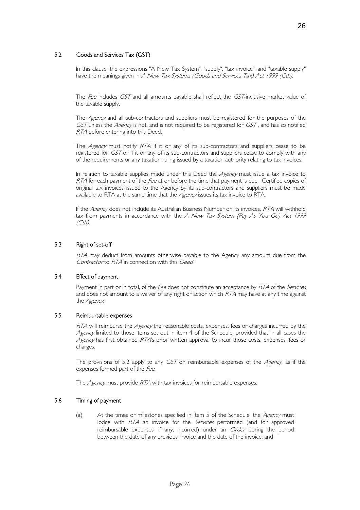#### 5.2 Goods and Services Tax (GST)

In this clause, the expressions "A New Tax System", "supply", "tax invoice", and "taxable supply" have the meanings given in A New Tax Systems (Goods and Services Tax) Act 1999 (Cth).

The Fee includes GST and all amounts payable shall reflect the GST-inclusive market value of the taxable supply.

The Agency and all sub-contractors and suppliers must be registered for the purposes of the GST unless the Agency is not, and is not required to be registered for GST, and has so notified RTA before entering into this Deed.

The *Agency* must notify RTA if it or any of its sub-contractors and suppliers cease to be registered for GST or if it or any of its sub-contractors and suppliers cease to comply with any of the requirements or any taxation ruling issued by a taxation authority relating to tax invoices.

In relation to taxable supplies made under this Deed the Agency must issue a tax invoice to RTA for each payment of the Fee at or before the time that payment is due. Certified copies of original tax invoices issued to the Agency by its sub-contractors and suppliers must be made available to RTA at the same time that the Agency issues its tax invoice to RTA.

If the Agency does not include its Australian Business Number on its invoices, RTA will withhold tax from payments in accordance with the  $A$  New Tax System (Pay As You Go) Act 1999 (Cth).

#### 5.3 Right of set-off ٦

RTA may deduct from amounts otherwise payable to the Agency any amount due from the Contractor to RTA in connection with this Deed.

#### 5.4 Effect of payment

Payment in part or in total, of the *Fee* does not constitute an acceptance by *RTA* of the *Services* and does not amount to a waiver of any right or action which  $RTA$  may have at any time against the Agency.

#### 5.5 Reimbursable expenses

RTA will reimburse the Agency the reasonable costs, expenses, fees or charges incurred by the Agency limited to those items set out in item 4 of the Schedule, provided that in all cases the Agency has first obtained RTA's prior written approval to incur those costs, expenses, fees or charges.

The provisions of 5.2 apply to any GST on reimbursable expenses of the Agency, as if the expenses formed part of the Fee.

The *Agency* must provide RTA with tax invoices for reimbursable expenses.

#### 5.6 Timing of payment

(a) At the times or milestones specified in item 5 of the Schedule, the Agency must lodge with RTA an invoice for the Services performed (and for approved reimbursable expenses, if any, incurred) under an *Order* during the period between the date of any previous invoice and the date of the invoice; and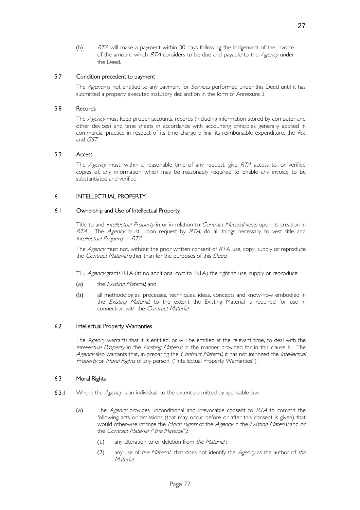(b) RTA will make a payment within 30 days following the lodgement of the invoice of the amount which RTA considers to be due and payable to the Agency under the Deed.

#### 5.7 Condition precedent to payment

The Agency is not entitled to any payment for Services performed under this Deed until it has submitted a properly executed statutory declaration in the form of Annexure 3.

#### 5.8 Records

The Agency must keep proper accounts, records (including information stored by computer and other devices) and time sheets in accordance with accounting principles generally applied in commercial practice in respect of its time charge billing, its reimbursable expenditure, the Fee and GST.

#### **Access** 5.9

The *Agency* must, within a reasonable time of any request, give RTA access to, or verified copies of, any information which may be reasonably required to enable any invoice to be substantiated and verified.

#### 6. INTELLECTUAL PROPERTY Ì

#### 6.1 Ownership and Use of Intellectual Property

Title to and *Intellectual Property* in or in relation to *Contract Material* vests upon its creation in RTA. The Agency must, upon request by RTA, do all things necessary to vest title and Intellectual Property in RTA.

The Agency must not, without the prior written consent of RTA, use, copy, supply or reproduce the Contract Material other than for the purposes of this Deed.

The *Agency* grants RTA (at no additional cost to RTA) the right to use, supply or reproduce:

- (a) the *Existing Material*; and
- (b) all methodologies, processes, techniques, ideas, concepts and know-how embodied in the *Existing Material*, to the extent the Existing Material is required for use in connection with the Contract Material.

#### 6.2 Intellectual Property Warranties

The Agency warrants that it is entitled, or will be entitled at the relevant time, to deal with the Intellectual Property in the Existing Material in the manner provided for in this clause 6. The Agency also warrants that, in preparing the Contract Material, it has not infringed the Intellectual Property or Moral Rights of any person. ("Intellectual Property Warranties").

#### 6.3 Moral Rights

- 6.3.1 Where the  $Agency$  is an individual, to the extent permitted by applicable law:
	- (a) The  $Agency$  provides unconditional and irrevocable consent to  $RTA$  to commit the following acts or omissions (that may occur before or after this consent is given) that would otherwise infringe the Moral Rights of the Agency in the Existing Material and or the Contract Material ("the Material").
		- $(1)$  any alteration to or deletion from the Material;
		- (2) any use of the Material that does not identify the Agency as the author of the Material;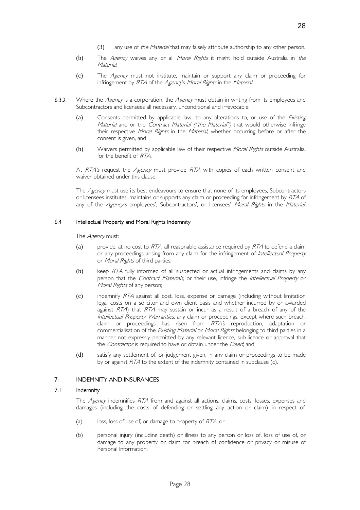- (3) any use of the Material that may falsely attribute authorship to any other person.
- (b) The Agency waives any or all Moral Rights it might hold outside Australia in the **Material**
- (c) The Agency must not institute, maintain or support any claim or proceeding for infringement by RTA of the Agency's Moral Rights in the Material.
- 6.3.2 Where the Agency is a corporation, the Agency must obtain in writing from its employees and Subcontractors and licensees all necessary, unconditional and irrevocable:
	- (a) Consents permitted by applicable law, to any alterations to, or use of the *Existing* Material and or the Contract Material ("the Material") that would otherwise infringe their respective Moral Rights in the Material, whether occurring before or after the consent is given, and
	- (b) Waivers permitted by applicable law of their respective Moral Rights outside Australia, for the benefit of RTA.

At RTA's request the Agency must provide RTA with copies of each written consent and waiver obtained under this clause.

The Agency must use its best endeavours to ensure that none of its employees, Subcontractors or licensees institutes, maintains or supports any claim or proceeding for infringement by RTA of any of the Agency's employees', Subcontractors', or licensees' Moral Rights in the Material.

#### 6.4 Intellectual Property and Moral Rights Indemnity

The *Agency* must:

- (a) provide, at no cost to  $RTA$ , all reasonable assistance required by  $RTA$  to defend a claim or any proceedings arising from any claim for the infringement of *Intellectual Property* or Moral Rights of third parties;
- (b) keep RTA fully informed of all suspected or actual infringements and claims by any person that the Contract Materials, or their use, infringe the Intellectual Property or Moral Rights of any person;
- $\sigma$  indemnify  $RTA$  against all cost, loss, expense or damage (including without limitation legal costs on a solicitor and own client basis and whether incurred by or awarded against  $RTA$ ) that  $RTA$  may sustain or incur as a result of a breach of any of the Intellectual Property Warranties, any claim or proceedings, except where such breach, claim or proceedings has risen from RTA's reproduction, adaptation or commercialisation of the Existing Material or Moral Rights belonging to third parties in a manner not expressly permitted by any relevant licence, sub-licence or approval that the Contractor is required to have or obtain under the Deed, and
- (d) satisfy any settlement of, or judgement given, in any claim or proceedings to be made by or against RTA to the extent of the indemnity contained in subclause (c).

#### 7. INDEMNITY AND INSURANCES

#### $7.1$ **Indemnity**

The Agency indemnifies RTA from and against all actions, claims, costs, losses, expenses and damages (including the costs of defending or settling any action or claim) in respect of:

- (a) loss, loss of use of, or damage to property of  $RTA$ ; or
- (b) personal injury (including death) or illness to any person or loss of, loss of use of, or damage to any property or claim for breach of confidence or privacy or misuse of Personal Information;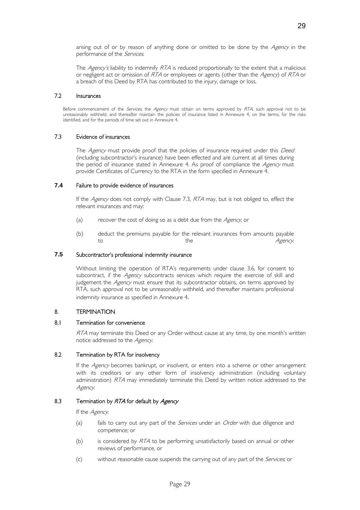arising out of or by reason of anything done or omitted to be done by the Agency in the performance of the Services.

The Agency's liability to indemnify RTA is reduced proportionally to the extent that a malicious or negligent act or omission of RTA or employees or agents (other than the Agency) of RTA or a breach of this Deed by RTA has contributed to the injury, damage or loss.

#### 7.2 Insurances

Before commencement of the Services, the Agency must obtain on terms approved by RTA, such approval not to be unreasonably withheld, and thereafter maintain the policies of insurance listed in Annexure 4, on the terms, for the risks identified, and for the periods of time set out in Annexure 4.

#### 7.3 Evidence of insurances

The Agency must provide proof that the policies of insurance required under this Deed (including subcontractor's insurance) have been effected and are current at all times during the period of insurance stated in Annexure 4. As proof of compliance the Agency must provide Certificates of Currency to the RTA in the form specified in Annexure 4.

#### **7.4** Failure to provide evidence of insurances

If the Agency does not comply with Clause 7.3, RTA may, but is not obliged to, effect the relevant insurances and may:

- (a) recover the cost of doing so as a debt due from the  $Agency$ , or
- (b) deduct the premiums payable for the relevant insurances from amounts payable to the the the Agency.

#### **7.5** Subcontractor's professional indemnity insurance

Without limiting the operation of RTA's requirements under clause 3.6, for consent to subcontract, if the Agency subcontracts services which require the exercise of skill and judgement the Agency must ensure that its subcontractor obtains, on terms approved by RTA, such approval not to be unreasonably withheld, and thereafter maintains professional indemnity insurance as specified in Annexure 4.

#### 8. TERMINATION Ì

#### 8.1 Termination for convenience

RTA may terminate this Deed or any Order without cause at any time, by one month's written notice addressed to the Agency.

#### 8.2 Termination by RTA for insolvency

If the Agency becomes bankrupt, or insolvent, or enters into a scheme or other arrangement with its creditors or any other form of insolvency administration (including voluntary administration) RTA may immediately terminate this Deed by written notice addressed to the Agency.

#### 8.3 Termination by RTA for default by Agency

If the Agency.

- (a) fails to carry out any part of the *Services* under an *Order* with due diligence and competence; or
- (b) is considered by  $RTA$  to be performing unsatisfactorily based on annual or other reviews of performance, or
- (c) without reasonable cause suspends the carrying out of any part of the *Services*, or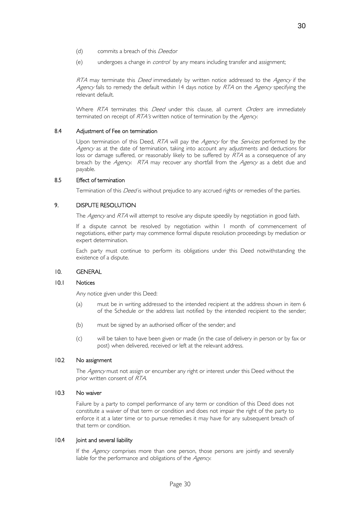- (d) commits a breach of this *Deed*;or
- (e) undergoes a change in *control* by any means including transfer and assignment;

RTA may terminate this Deed immediately by written notice addressed to the Agency if the Agency fails to remedy the default within 14 days notice by RTA on the Agency specifying the relevant default.

Where RTA terminates this Deed under this clause, all current Orders are immediately terminated on receipt of RTA's written notice of termination by the Agency.

#### 8.4 Adjustment of Fee on termination

Upon termination of this Deed, RTA will pay the Agency for the Services performed by the Agency as at the date of termination, taking into account any adjustments and deductions for loss or damage suffered, or reasonably likely to be suffered by RTA as a consequence of any breach by the Agency. RTA may recover any shortfall from the Agency as a debt due and payable.

#### 8.5 Effect of termination Ĭ

Termination of this *Deed* is without prejudice to any accrued rights or remedies of the parties.

#### 9. DISPUTE RESOLUTION

The Agency and RTA will attempt to resolve any dispute speedily by negotiation in good faith.

If a dispute cannot be resolved by negotiation within 1 month of commencement of negotiations, either party may commence formal dispute resolution proceedings by mediation or expert determination.

Each party must continue to perform its obligations under this Deed notwithstanding the existence of a dispute.

#### 10. GENERAL j

#### 10.1 Notices

Any notice given under this Deed:

- (a) must be in writing addressed to the intended recipient at the address shown in item 6 of the Schedule or the address last notified by the intended recipient to the sender;
- (b) must be signed by an authorised officer of the sender; and
- (c) will be taken to have been given or made (in the case of delivery in person or by fax or post) when delivered, received or left at the relevant address.

#### 10.2 No assignment

The Agency must not assign or encumber any right or interest under this Deed without the prior written consent of RTA.

#### 10.3 No waiver

Failure by a party to compel performance of any term or condition of this Deed does not constitute a waiver of that term or condition and does not impair the right of the party to enforce it at a later time or to pursue remedies it may have for any subsequent breach of that term or condition.

#### 10.4 **Joint and several liability**

If the Agency comprises more than one person, those persons are jointly and severally liable for the performance and obligations of the Agency.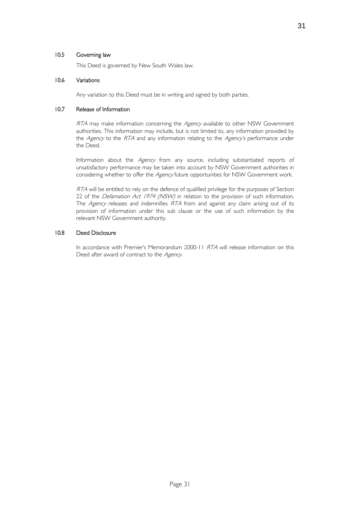# 10.5 Governing law

This Deed is governed by New South Wales law.

#### 10.6 Variations

Any variation to this Deed must be in writing and signed by both parties.

#### 10.7 Release of Information

RTA may make information concerning the Agency available to other NSW Government authorities. This information may include, but is not limited to, any information provided by the Agency to the RTA and any information relating to the Agency's performance under the Deed.

Information about the Agency from any source, including substantiated reports of unsatisfactory performance may be taken into account by NSW Government authorities in considering whether to offer the Agency future opportunities for NSW Government work.

RTA will be entitled to rely on the defence of qualified privilege for the purposes of Section 22 of the *Defamation Act 1974 (NSW)* in relation to the provision of such information. The *Agency* releases and indemnifies RTA from and against any claim arising out of its provision of information under this sub clause or the use of such information by the relevant NSW Government authority.

#### 10.8 Deed Disclosure

In accordance with Premier's Memorandum 2000-11 RTA will release information on this Deed after award of contract to the Agency.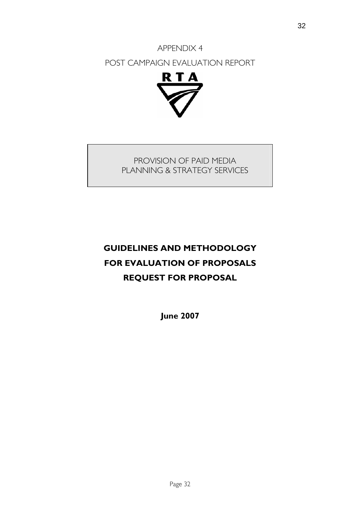# APPENDIX 4 POST CAMPAIGN EVALUATION REPORT



## PROVISION OF PAID MEDIA PLANNING & STRATEGY SERVICES

# **GUIDELINES AND METHODOLOGY FOR EVALUATION OF PROPOSALS REQUEST FOR PROPOSAL**

**June 2007**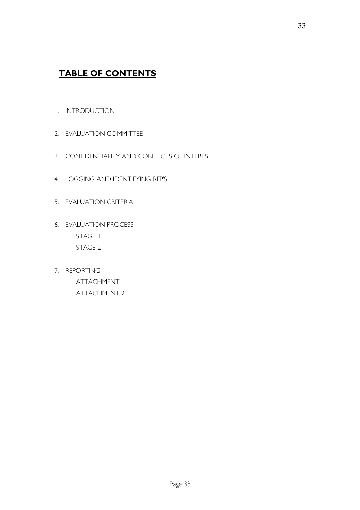# **TABLE OF CONTENTS**

- 1. INTRODUCTION
- 2. EVALUATION COMMITTEE
- 3. CONFIDENTIALITY AND CONFLICTS OF INTEREST
- 4. LOGGING AND IDENTIFYING RFP'S
- 5. EVALUATION CRITERIA
- 6. EVALUATION PROCESS STAGE 1 STAGE 2
- 7. REPORTING ATTACHMENT 1 ATTACHMENT 2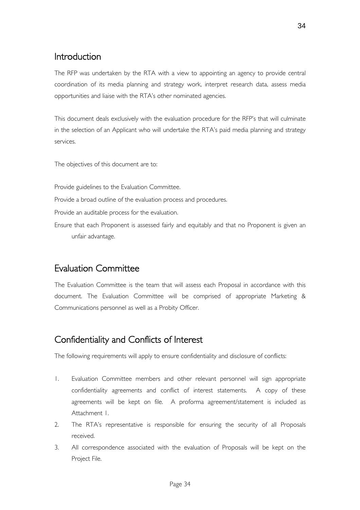# Introduction

The RFP was undertaken by the RTA with a view to appointing an agency to provide central coordination of its media planning and strategy work, interpret research data, assess media opportunities and liaise with the RTA's other nominated agencies.

This document deals exclusively with the evaluation procedure for the RFP's that will culminate in the selection of an Applicant who will undertake the RTA's paid media planning and strategy services.

The objectives of this document are to:

Provide guidelines to the Evaluation Committee.

Provide a broad outline of the evaluation process and procedures.

Provide an auditable process for the evaluation.

Ensure that each Proponent is assessed fairly and equitably and that no Proponent is given an unfair advantage.

### Evaluation Committee

The Evaluation Committee is the team that will assess each Proposal in accordance with this document. The Evaluation Committee will be comprised of appropriate Marketing & Communications personnel as well as a Probity Officer.

# Confidentiality and Conflicts of Interest

The following requirements will apply to ensure confidentiality and disclosure of conflicts:

- 1. Evaluation Committee members and other relevant personnel will sign appropriate confidentiality agreements and conflict of interest statements. A copy of these agreements will be kept on file. A proforma agreement/statement is included as Attachment 1.
- 2. The RTA's representative is responsible for ensuring the security of all Proposals received.
- 3. All correspondence associated with the evaluation of Proposals will be kept on the Project File.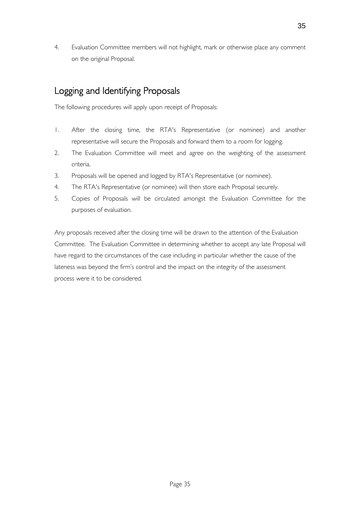4. Evaluation Committee members will not highlight, mark or otherwise place any comment on the original Proposal.

# Logging and Identifying Proposals

The following procedures will apply upon receipt of Proposals:

- 1. After the closing time, the RTA's Representative (or nominee) and another representative will secure the Proposals and forward them to a room for logging.
- 2. The Evaluation Committee will meet and agree on the weighting of the assessment criteria.
- 3. Proposals will be opened and logged by RTA's Representative (or nominee).
- 4. The RTA's Representative (or nominee) will then store each Proposal securely.
- 5. Copies of Proposals will be circulated amongst the Evaluation Committee for the purposes of evaluation.

Any proposals received after the closing time will be drawn to the attention of the Evaluation Committee. The Evaluation Committee in determining whether to accept any late Proposal will have regard to the circumstances of the case including in particular whether the cause of the lateness was beyond the firm's control and the impact on the integrity of the assessment process were it to be considered.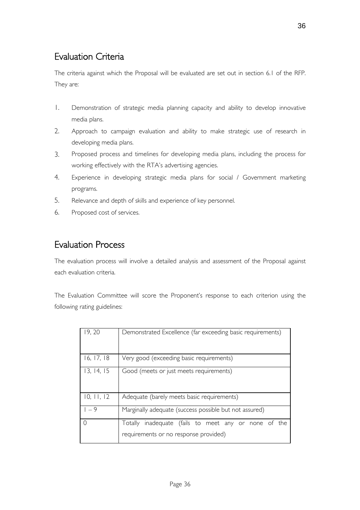# Evaluation Criteria

The criteria against which the Proposal will be evaluated are set out in section 6.1 of the RFP. They are:

- 1. Demonstration of strategic media planning capacity and ability to develop innovative media plans.
- 2. Approach to campaign evaluation and ability to make strategic use of research in developing media plans.
- 3. Proposed process and timelines for developing media plans, including the process for working effectively with the RTA's advertising agencies.
- 4. Experience in developing strategic media plans for social / Government marketing programs.
- 5. Relevance and depth of skills and experience of key personnel.
- 6. Proposed cost of services.

# Evaluation Process

The evaluation process will involve a detailed analysis and assessment of the Proposal against each evaluation criteria.

The Evaluation Committee will score the Proponent's response to each criterion using the following rating guidelines:

| 19, 20     | Demonstrated Excellence (far exceeding basic requirements) |
|------------|------------------------------------------------------------|
|            |                                                            |
|            |                                                            |
|            |                                                            |
| 16, 17, 18 | Very good (exceeding basic requirements)                   |
| 13, 14, 15 | Good (meets or just meets requirements)                    |
|            |                                                            |
|            |                                                            |
| 10, 11, 12 | Adequate (barely meets basic requirements)                 |
|            |                                                            |
| $1 - 9$    | Marginally adequate (success possible but not assured)     |
| ∩          | Totally inadequate (fails to meet any or none of the       |
|            | requirements or no response provided)                      |
|            |                                                            |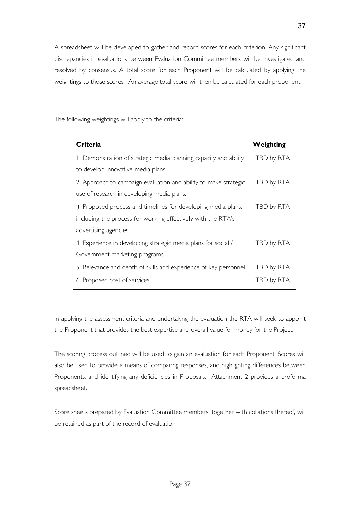A spreadsheet will be developed to gather and record scores for each criterion. Any significant discrepancies in evaluations between Evaluation Committee members will be investigated and resolved by consensus. A total score for each Proponent will be calculated by applying the weightings to those scores. An average total score will then be calculated for each proponent.

The following weightings will apply to the criteria:

| Criteria                                                          | Weighting  |
|-------------------------------------------------------------------|------------|
| I. Demonstration of strategic media planning capacity and ability | TBD by RTA |
| to develop innovative media plans.                                |            |
| 2. Approach to campaign evaluation and ability to make strategic  | TBD by RTA |
| use of research in developing media plans.                        |            |
| 3. Proposed process and timelines for developing media plans,     | TBD by RTA |
| including the process for working effectively with the RTA's      |            |
| advertising agencies.                                             |            |
| 4. Experience in developing strategic media plans for social /    | TBD by RTA |
| Government marketing programs.                                    |            |
| 5. Relevance and depth of skills and experience of key personnel. | TBD by RTA |
| 6. Proposed cost of services.                                     | TBD by RTA |

In applying the assessment criteria and undertaking the evaluation the RTA will seek to appoint the Proponent that provides the best expertise and overall value for money for the Project.

The scoring process outlined will be used to gain an evaluation for each Proponent. Scores will also be used to provide a means of comparing responses, and highlighting differences between Proponents, and identifying any deficiencies in Proposals. Attachment 2 provides a proforma spreadsheet.

Score sheets prepared by Evaluation Committee members, together with collations thereof, will be retained as part of the record of evaluation.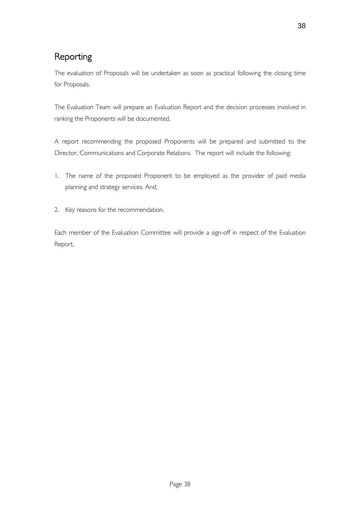# Reporting

The evaluation of Proposals will be undertaken as soon as practical following the closing time for Proposals.

The Evaluation Team will prepare an Evaluation Report and the decision processes involved in ranking the Proponents will be documented.

A report recommending the proposed Proponents will be prepared and submitted to the Director, Communications and Corporate Relations. The report will include the following:

- 1. The name of the proposed Proponent to be employed as the provider of paid media planning and strategy services. And,
- 2. Key reasons for the recommendation.

Each member of the Evaluation Committee will provide a sign-off in respect of the Evaluation Report.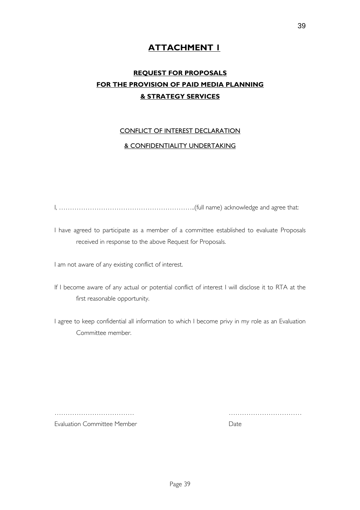### **ATTACHMENT 1**

## **REQUEST FOR PROPOSALS FOR THE PROVISION OF PAID MEDIA PLANNING & STRATEGY SERVICES**

#### CONFLICT OF INTEREST DECLARATION

#### & CONFIDENTIALITY UNDERTAKING

I, ……………………………………………………..(full name) acknowledge and agree that:

I have agreed to participate as a member of a committee established to evaluate Proposals received in response to the above Request for Proposals.

I am not aware of any existing conflict of interest.

If I become aware of any actual or potential conflict of interest I will disclose it to RTA at the first reasonable opportunity.

I agree to keep confidential all information to which I become privy in my role as an Evaluation Committee member.

Evaluation Committee Member **Date** Date

……………………………… ……………………………